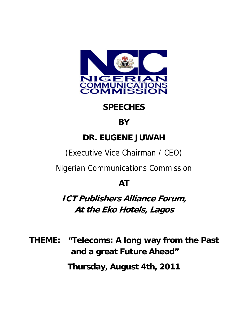

## **SPEECHES**

## **BY**

## **DR. EUGENE JUWAH**

(Executive Vice Chairman / CEO)

Nigerian Communications Commission

## **AT**

**ICT Publishers Alliance Forum, At the Eko Hotels, Lagos** 

**THEME: "Telecoms: A long way from the Past and a great Future Ahead"** 

**Thursday, August 4th, 2011**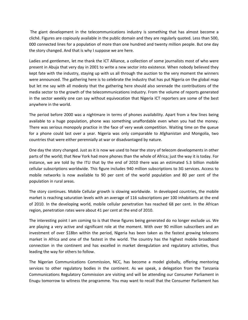The giant development in the telecommunications industry is something that has almost become a cliché. Figures are copiously available in the public domain and they are regularly quoted. Less than 500, 000 connected lines for a population of more than one hundred and twenty million people. But one day the story changed. And that is why I suppose we are here.

Ladies and gentlemen, let me thank the ICT Alliance, a collection of some journalists most of who were present in Abuja that very day in 2001 to write a new sector into existence. When nobody believed they kept fate with the industry, staying up with us all through the auction to the very moment the winners were announced. The gathering here is to celebrate the industry that has put Nigeria on the global map but let me say with all modesty that the gathering here should also serenade the contributions of the media sector to the growth of the telecommunications industry. From the volume of reports generated in the sector weekly one can say without equivocation that Nigeria ICT reporters are some of the best anywhere in the world.

The period before 2000 was a nightmare in terms of phones availability. Apart from a few lines being available to a huge population, phone was something unaffordable even when you had the money. There was serious monopoly practice in the face of very weak competition. Waiting time on the queue for a phone could last over a year. Nigeria was only comparable to Afghanistan and Mongolia, two countries that were either perennially at war or disadvantaged by nature.

One day the story changed. Just as it is now we used to hear the story of telecom developments in other parts of the world; that New York had more phones than the whole of Africa; just the way it is today. For instance, we are told by the ITU that by the end of 2010 there was an estimated 5.3 billion mobile cellular subscriptions worldwide. This figure includes 940 million subscriptions to 3G services. Access to mobile networks is now available to 90 per cent of the world population and 80 per cent of the population in rural areas.

The story continues. Mobile Cellular growth is slowing worldwide. In developed countries, the mobile market is reaching saturation levels with an average of 116 subscriptions per 100 inhabitants at the end of 2010. In the developing world, mobile cellular penetration has reached 68 per cent. In the African region, penetration rates were about 41 per cent at the end of 2010.

The interesting point I am coming to is that these figures being generated do no longer exclude us. We are playing a very active and significant role at the moment. With over 90 million subscribers and an investment of over \$18bn within the period, Nigeria has been taken as the fastest growing telecoms market in Africa and one of the fastest in the world. The country has the highest mobile broadband connection in the continent and has excelled in market deregulation and regulatory activities, thus leading the way for others to follow.

The Nigerian Communications Commission, NCC, has become a model globally, offering mentoring services to other regulatory bodies in the continent. As we speak, a delegation from the Tanzania Communications Regulatory Commission are visiting and will be attending our Consumer Parliament in Enugu tomorrow to witness the programme. You may want to recall that the Consumer Parliament has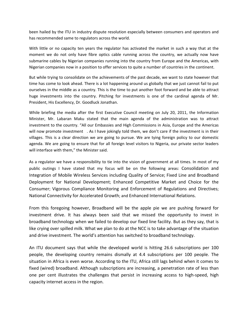been hailed by the ITU in industry dispute resolution especially between consumers and operators and has recommended same to regulators across the world.

With little or no capacity ten years the regulator has activated the market in such a way that at the moment we do not only have fibre optics cable running across the country, we actually now have submarine cables by Nigerian companies running into the country from Europe and the Americas, with Nigerian companies now in a position to offer services to quite a number of countries in the continent.

But while trying to consolidate on the achievements of the past decade, we want to state however that time has come to look ahead. There is a lot happening around us globally that we just cannot fail to put ourselves in the middle as a country. This is the time to put another foot forward and be able to attract huge investments into the country. Pitching for investments is one of the cardinal agenda of Mr. President, His Excellency, Dr. Goodluck Jonathan.

While briefing the media after the first Executive Council meeting on July 20, 2011, the Information Minister, Mr. Labaran Maku stated that the main agenda of the administration was to attract investment to the country. "All our Embassies and High Commissions in Asia, Europe and the Americas will now promote investment . As I have jokingly told them, we don't care if the investment is in their villages. This is a clear direction we are going to pursue. We are tying foreign policy to our domestic agenda. We are going to ensure that for all foreign level visitors to Nigeria, our private sector leaders will interface with them," the Minister said.

As a regulator we have a responsibility to tie into the vision of government at all times. In most of my public outings I have stated that my focus will be on the following areas: Consolidation and Integration of Mobile Wireless Services including Quality of Service; Fixed Line and Broadband Deployment for National Development; Enhanced Competitive Market and Choice for the Consumer; Vigorous Compliance Monitoring and Enforcement of Regulations and Directives; National Connectivity for Accelerated Growth; and Enhanced International Relations.

From this foregoing however, Broadband will be the apple pie we are pushing forward for investment drive. It has always been said that we missed the opportunity to invest in broadband technology when we failed to develop our fixed line facility. But as they say, that is like crying over spilled milk. What we plan to do at the NCC is to take advantage of the situation and drive investment. The world's attention has switched to broadband technology.

An ITU document says that while the developed world is hitting 26.6 subscriptions per 100 people, the developing country remains dismally at 4.4 subscriptions per 100 people. The situation in Africa is even worse. According to the ITU, Africa still lags behind when it comes to fixed (wired) broadband. Although subscriptions are increasing, a penetration rate of less than one per cent illustrates the challenges that persist in increasing access to high-speed, high capacity internet access in the region.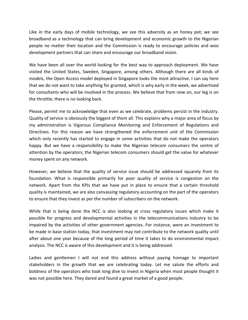Like in the early days of mobile technology, we see this adversity as an honey pot; we see broadband as a technology that can bring development and economic growth to the Nigerian people no matter their location and the Commission is ready to encourage policies and woo development partners that can share and encourage our broadband vision.

We have been all over the world looking for the best way to approach deployment. We have visited the United States, Sweden, Singapore, among others. Although there are all kinds of models, the Open Access model deployed in Singapore looks the most attractive. I can say here that we do not want to take anything for granted, which is why early in the week, we advertised for consultants who will be involved in the process. We believe that from now on, our leg is on the throttle; there is no looking back.

Please, permit me to acknowledge that even as we celebrate, problems persist in the industry. Quality of service is obviously the biggest of them all. This explains why a major area of focus by my administration is Vigorous Compliance Monitoring and Enforcement of Regulations and Directives. For this reason we have strengthened the enforcement unit of the Commission which only recently has started to engage in some activities that do not make the operators happy. But we have a responsibility to make the Nigerian telecom consumers the centre of attention by the operators; the Nigerian telecom consumers should get the value for whatever money spent on any network.

However, we believe that the quality of service issue should be addressed squarely from its foundation. What is responsible primarily for poor quality of service is congestion on the network. Apart from the KPIs that we have put in place to ensure that a certain threshold quality is maintained, we are also canvassing regulatory accounting on the part of the operators to ensure that they invest as per the number of subscribers on the network.

While that is being done the NCC is also looking at cross regulatory issues which make it possible for progress and developmental activities in the telecommunications industry to be impaired by the activities of other government agencies. For instance, were an investment to be made in base station today, that investment may not contribute to the network quality until after about one year because of the long period of time it takes to do environmental impact analysis. The NCC is aware of this development and it is being addressed.

Ladies and gentlemen I will not end this address without paying homage to important stakeholders in the growth that we are celebrating today. Let me salute the efforts and boldness of the operators who took long dive to invest in Nigeria when most people thought it was not possible here. They dared and found a great market of a good people.